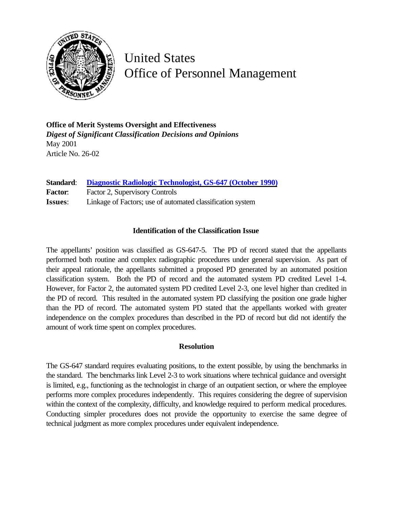

United States Office of Personnel Management

**Office of Merit Systems Oversight and Effectiveness** *Digest of Significant Classification Decisions and Opinions* May 2001 Article No. 26-02

**Standard**: **[Diagnostic Radiologic Technologist, GS-647 \(October 1990\)](http://www.opm.gov/fedclass/gs0647.pdf)** Factor: Factor 2, Supervisory Controls **Issues**: Linkage of Factors; use of automated classification system

## **Identification of the Classification Issue**

The appellants' position was classified as GS-647-5. The PD of record stated that the appellants performed both routine and complex radiographic procedures under general supervision. As part of their appeal rationale, the appellants submitted a proposed PD generated by an automated position classification system. Both the PD of record and the automated system PD credited Level 1-4. However, for Factor 2, the automated system PD credited Level 2-3, one level higher than credited in the PD of record. This resulted in the automated system PD classifying the position one grade higher than the PD of record. The automated system PD stated that the appellants worked with greater independence on the complex procedures than described in the PD of record but did not identify the amount of work time spent on complex procedures.

## **Resolution**

The GS-647 standard requires evaluating positions, to the extent possible, by using the benchmarks in the standard. The benchmarks link Level 2-3 to work situations where technical guidance and oversight is limited, e.g., functioning as the technologist in charge of an outpatient section, or where the employee performs more complex procedures independently. This requires considering the degree of supervision within the context of the complexity, difficulty, and knowledge required to perform medical procedures. Conducting simpler procedures does not provide the opportunity to exercise the same degree of technical judgment as more complex procedures under equivalent independence.